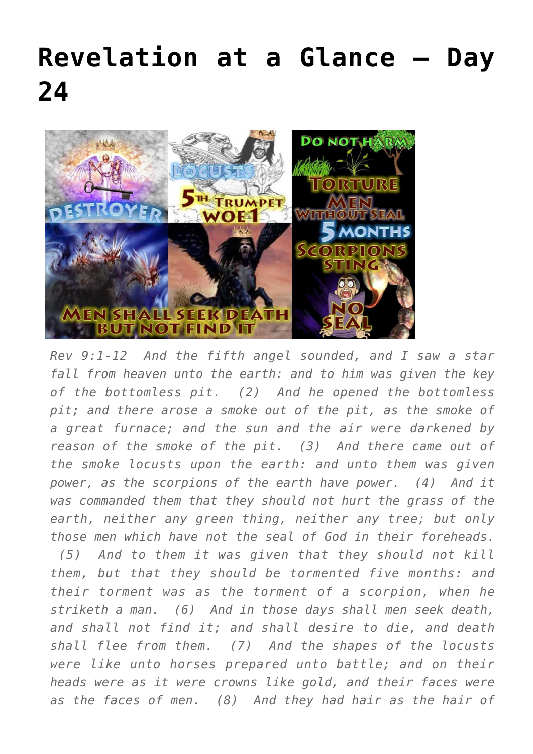## **[Revelation at a Glance – Day](https://maranatha.earnestlycontending.com/2022/06/13/revelation-at-a-glance-day-24/) [24](https://maranatha.earnestlycontending.com/2022/06/13/revelation-at-a-glance-day-24/)**



*Rev 9:1-12 And the fifth angel sounded, and I saw a star fall from heaven unto the earth: and to him was given the key of the bottomless pit. (2) And he opened the bottomless pit; and there arose a smoke out of the pit, as the smoke of a great furnace; and the sun and the air were darkened by reason of the smoke of the pit. (3) And there came out of the smoke locusts upon the earth: and unto them was given power, as the scorpions of the earth have power. (4) And it was commanded them that they should not hurt the grass of the earth, neither any green thing, neither any tree; but only those men which have not the seal of God in their foreheads. (5) And to them it was given that they should not kill them, but that they should be tormented five months: and their torment was as the torment of a scorpion, when he striketh a man. (6) And in those days shall men seek death, and shall not find it; and shall desire to die, and death shall flee from them. (7) And the shapes of the locusts were like unto horses prepared unto battle; and on their heads were as it were crowns like gold, and their faces were as the faces of men. (8) And they had hair as the hair of*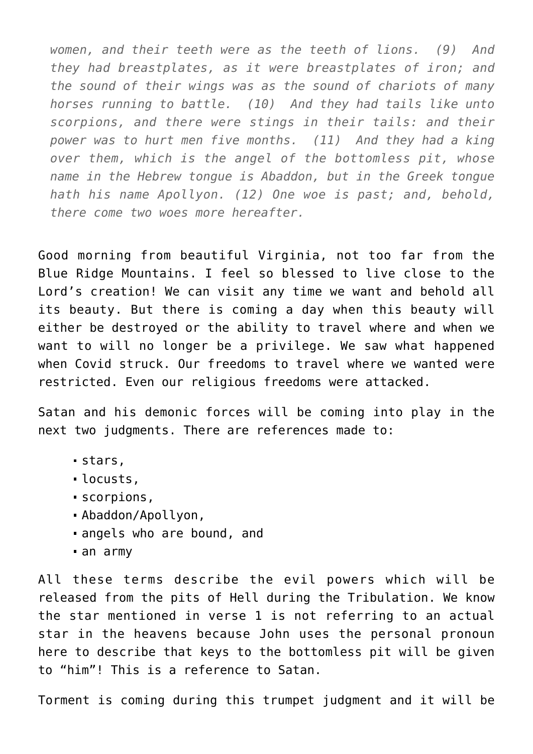*women, and their teeth were as the teeth of lions. (9) And they had breastplates, as it were breastplates of iron; and the sound of their wings was as the sound of chariots of many horses running to battle. (10) And they had tails like unto scorpions, and there were stings in their tails: and their power was to hurt men five months. (11) And they had a king over them, which is the angel of the bottomless pit, whose name in the Hebrew tongue is Abaddon, but in the Greek tongue hath his name Apollyon. (12) One woe is past; and, behold, there come two woes more hereafter.*

Good morning from beautiful Virginia, not too far from the Blue Ridge Mountains. I feel so blessed to live close to the Lord's creation! We can visit any time we want and behold all its beauty. But there is coming a day when this beauty will either be destroyed or the ability to travel where and when we want to will no longer be a privilege. We saw what happened when Covid struck. Our freedoms to travel where we wanted were restricted. Even our religious freedoms were attacked.

Satan and his demonic forces will be coming into play in the next two judgments. There are references made to:

- stars,
- locusts,
- scorpions,
- Abaddon/Apollyon,
- angels who are bound, and
- an army

All these terms describe the evil powers which will be released from the pits of Hell during the Tribulation. We know the star mentioned in verse 1 is not referring to an actual star in the heavens because John uses the personal pronoun here to describe that keys to the bottomless pit will be given to "him"! This is a reference to Satan.

Torment is coming during this trumpet judgment and it will be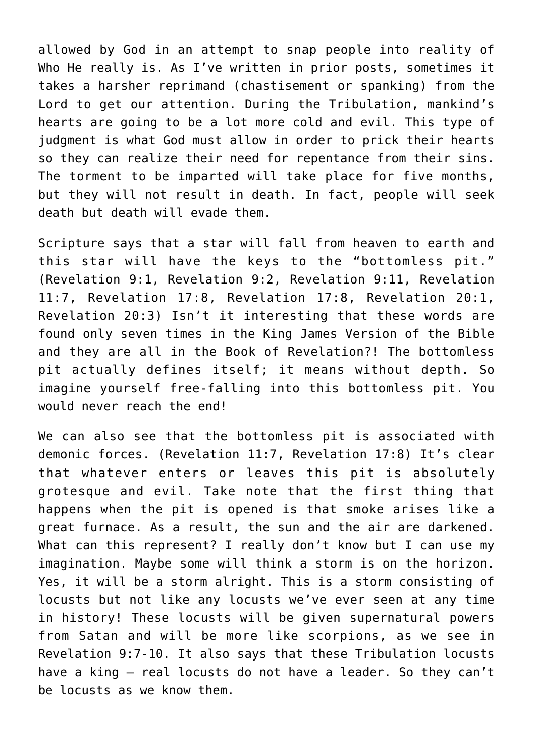allowed by God in an attempt to snap people into reality of Who He really is. As I've written in prior posts, sometimes it takes a harsher reprimand (chastisement or spanking) from the Lord to get our attention. During the Tribulation, mankind's hearts are going to be a lot more cold and evil. This type of judgment is what God must allow in order to prick their hearts so they can realize their need for repentance from their sins. The torment to be imparted will take place for five months, but they will not result in death. In fact, people will seek death but death will evade them.

Scripture says that a star will fall from heaven to earth and this star will have the keys to the "bottomless pit." (Revelation 9:1, Revelation 9:2, Revelation 9:11, Revelation 11:7, Revelation 17:8, Revelation 17:8, Revelation 20:1, Revelation 20:3) Isn't it interesting that these words are found only seven times in the King James Version of the Bible and they are all in the Book of Revelation?! The bottomless pit actually defines itself; it means without depth. So imagine yourself free-falling into this bottomless pit. You would never reach the end!

We can also see that the bottomless pit is associated with demonic forces. (Revelation 11:7, Revelation 17:8) It's clear that whatever enters or leaves this pit is absolutely grotesque and evil. Take note that the first thing that happens when the pit is opened is that smoke arises like a great furnace. As a result, the sun and the air are darkened. What can this represent? I really don't know but I can use my imagination. Maybe some will think a storm is on the horizon. Yes, it will be a storm alright. This is a storm consisting of locusts but not like any locusts we've ever seen at any time in history! These locusts will be given supernatural powers from Satan and will be more like scorpions, as we see in Revelation 9:7-10. It also says that these Tribulation locusts have a king – real locusts do not have a leader. So they can't be locusts as we know them.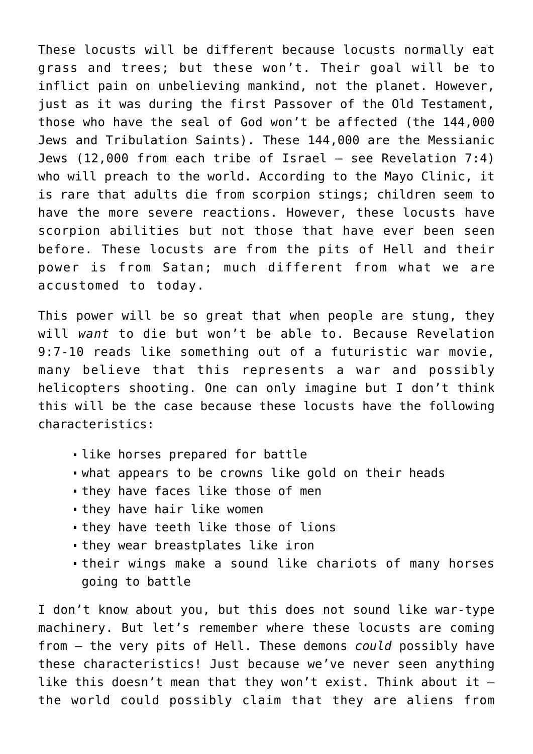These locusts will be different because locusts normally eat grass and trees; but these won't. Their goal will be to inflict pain on unbelieving mankind, not the planet. However, just as it was during the first Passover of the Old Testament, those who have the seal of God won't be affected (the 144,000 Jews and Tribulation Saints). These 144,000 are the Messianic Jews (12,000 from each tribe of Israel – see Revelation 7:4) who will preach to the world. According to the Mayo Clinic, it is rare that adults die from scorpion stings; children seem to have the more severe reactions. However, these locusts have scorpion abilities but not those that have ever been seen before. These locusts are from the pits of Hell and their power is from Satan; much different from what we are accustomed to today.

This power will be so great that when people are stung, they will *want* to die but won't be able to. Because Revelation 9:7-10 reads like something out of a futuristic war movie, many believe that this represents a war and possibly helicopters shooting. One can only imagine but I don't think this will be the case because these locusts have the following characteristics:

- like horses prepared for battle
- what appears to be crowns like gold on their heads
- **they have faces like those of men**
- they have hair like women
- they have teeth like those of lions
- they wear breastplates like iron
- their wings make a sound like chariots of many horses going to battle

I don't know about you, but this does not sound like war-type machinery. But let's remember where these locusts are coming from – the very pits of Hell. These demons *could* possibly have these characteristics! Just because we've never seen anything like this doesn't mean that they won't exist. Think about it  $$ the world could possibly claim that they are aliens from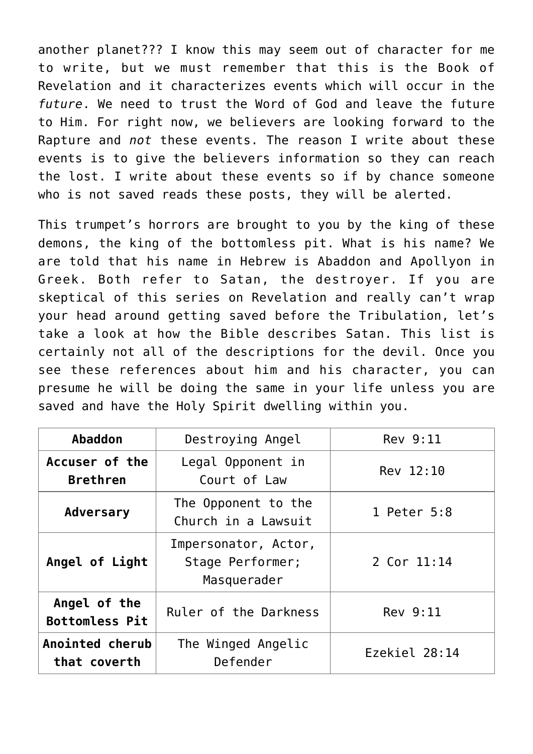another planet??? I know this may seem out of character for me to write, but we must remember that this is the Book of Revelation and it characterizes events which will occur in the *future*. We need to trust the Word of God and leave the future to Him. For right now, we believers are looking forward to the Rapture and *not* these events. The reason I write about these events is to give the believers information so they can reach the lost. I write about these events so if by chance someone who is not saved reads these posts, they will be alerted.

This trumpet's horrors are brought to you by the king of these demons, the king of the bottomless pit. What is his name? We are told that his name in Hebrew is Abaddon and Apollyon in Greek. Both refer to Satan, the destroyer. If you are skeptical of this series on Revelation and really can't wrap your head around getting saved before the Tribulation, let's take a look at how the Bible describes Satan. This list is certainly not all of the descriptions for the devil. Once you see these references about him and his character, you can presume he will be doing the same in your life unless you are saved and have the Holy Spirit dwelling within you.

| Abaddon                               | Destroying Angel                                        | Rev 9:11      |
|---------------------------------------|---------------------------------------------------------|---------------|
| Accuser of the<br><b>Brethren</b>     | Legal Opponent in<br>Court of Law                       | Rev 12:10     |
| <b>Adversary</b>                      | The Opponent to the<br>Church in a Lawsuit              | 1 Peter 5:8   |
| Angel of Light                        | Impersonator, Actor,<br>Stage Performer;<br>Masquerader | 2 Cor 11:14   |
| Angel of the<br><b>Bottomless Pit</b> | Ruler of the Darkness                                   | Rev 9:11      |
| Anointed cherub<br>that coverth       | The Winged Angelic<br>Defender                          | Ezekiel 28:14 |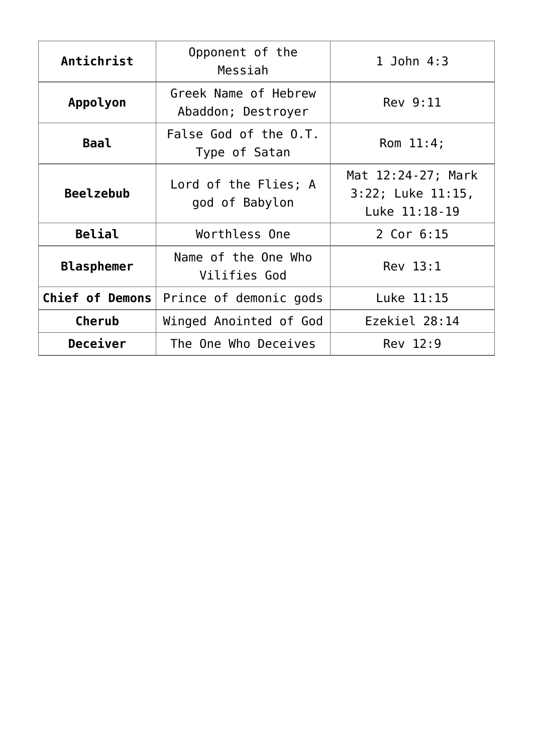| Antichrist             | Opponent of the<br>Messiah                 | 1 John $4:3$                                             |
|------------------------|--------------------------------------------|----------------------------------------------------------|
| Appolyon               | Greek Name of Hebrew<br>Abaddon; Destroyer | Rev 9:11                                                 |
| <b>Baal</b>            | False God of the O.T.<br>Type of Satan     | Rom $11:4;$                                              |
| <b>Beelzebub</b>       | Lord of the Flies; A<br>god of Babylon     | Mat 12:24-27; Mark<br>3:22; Luke 11:15,<br>Luke 11:18-19 |
| <b>Belial</b>          | Worthless One                              | 2 Cor 6:15                                               |
| <b>Blasphemer</b>      | Name of the One Who<br>Vilifies God        | Rev 13:1                                                 |
| <b>Chief of Demons</b> | Prince of demonic gods                     | Luke 11:15                                               |
| Cherub                 | Winged Anointed of God                     | Ezekiel 28:14                                            |
| Deceiver               | The One Who Deceives                       | Rev 12:9                                                 |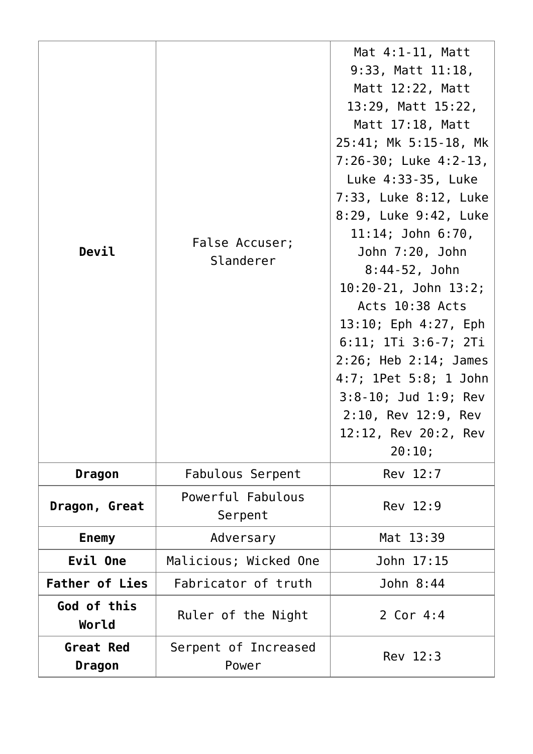| Devil                      | False Accuser;<br>Slanderer   | Mat $4:1-11$ , Matt<br>$9:33$ , Matt $11:18$ ,<br>Matt 12:22, Matt<br>13:29, Matt 15:22,<br>Matt 17:18, Matt<br>25:41; Mk 5:15-18, Mk<br>$7:26-30$ ; Luke $4:2-13$ ,<br>Luke 4:33-35, Luke<br>7:33, Luke 8:12, Luke<br>8:29, Luke 9:42, Luke<br>$11:14$ ; John $6:70$ ,<br>John 7:20, John<br>8:44-52, John<br>$10:20-21$ , John $13:2$ ;<br>Acts 10:38 Acts<br>13:10; Eph 4:27, Eph<br>6:11; 1Ti 3:6-7; 2Ti<br>$2:26$ ; Heb $2:14$ ; James<br>4:7; 1Pet 5:8; 1 John<br>3:8-10; Jud 1:9; Rev<br>2:10, Rev 12:9, Rev<br>12:12, Rev 20:2, Rev<br>20:10; |
|----------------------------|-------------------------------|-------------------------------------------------------------------------------------------------------------------------------------------------------------------------------------------------------------------------------------------------------------------------------------------------------------------------------------------------------------------------------------------------------------------------------------------------------------------------------------------------------------------------------------------------------|
| Dragon                     | Fabulous Serpent              | Rev 12:7                                                                                                                                                                                                                                                                                                                                                                                                                                                                                                                                              |
| Dragon, Great              | Powerful Fabulous<br>Serpent  | Rev 12:9                                                                                                                                                                                                                                                                                                                                                                                                                                                                                                                                              |
| <b>Enemy</b>               | Adversary                     | Mat 13:39                                                                                                                                                                                                                                                                                                                                                                                                                                                                                                                                             |
| Evil One                   | Malicious; Wicked One         | John 17:15                                                                                                                                                                                                                                                                                                                                                                                                                                                                                                                                            |
| <b>Father of Lies</b>      | Fabricator of truth           | John 8:44                                                                                                                                                                                                                                                                                                                                                                                                                                                                                                                                             |
| God of this<br>World       | Ruler of the Night            | 2 Cor 4:4                                                                                                                                                                                                                                                                                                                                                                                                                                                                                                                                             |
| <b>Great Red</b><br>Dragon | Serpent of Increased<br>Power | Rev 12:3                                                                                                                                                                                                                                                                                                                                                                                                                                                                                                                                              |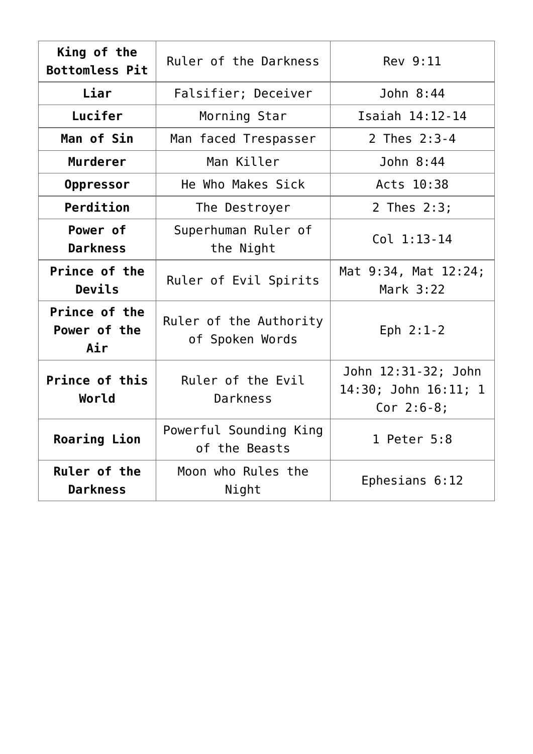| King of the                          | Ruler of the Darkness                     | Rev 9:11                                                    |
|--------------------------------------|-------------------------------------------|-------------------------------------------------------------|
| <b>Bottomless Pit</b>                |                                           |                                                             |
| Liar                                 | Falsifier; Deceiver                       | John 8:44                                                   |
| Lucifer                              | Morning Star                              | Isaiah 14:12-14                                             |
| Man of Sin                           | Man faced Trespasser                      | 2 Thes 2:3-4                                                |
| <b>Murderer</b>                      | Man Killer                                | John 8:44                                                   |
| Oppressor                            | He Who Makes Sick                         | Acts 10:38                                                  |
| Perdition                            | The Destroyer                             | 2 Thes 2:3;                                                 |
| Power of<br><b>Darkness</b>          | Superhuman Ruler of<br>the Night          | $Col 1:13-14$                                               |
| Prince of the<br>Devils              | Ruler of Evil Spirits                     | Mat 9:34, Mat 12:24;<br>Mark 3:22                           |
| Prince of the<br>Power of the<br>Air | Ruler of the Authority<br>of Spoken Words | Eph $2:1-2$                                                 |
| Prince of this<br>World              | Ruler of the Evil<br>Darkness             | John 12:31-32; John<br>14:30; John 16:11; 1<br>$Cor$ 2:6-8; |
| <b>Roaring Lion</b>                  | Powerful Sounding King<br>of the Beasts   | 1 Peter 5:8                                                 |
| Ruler of the<br><b>Darkness</b>      | Moon who Rules the<br>Night               | Ephesians 6:12                                              |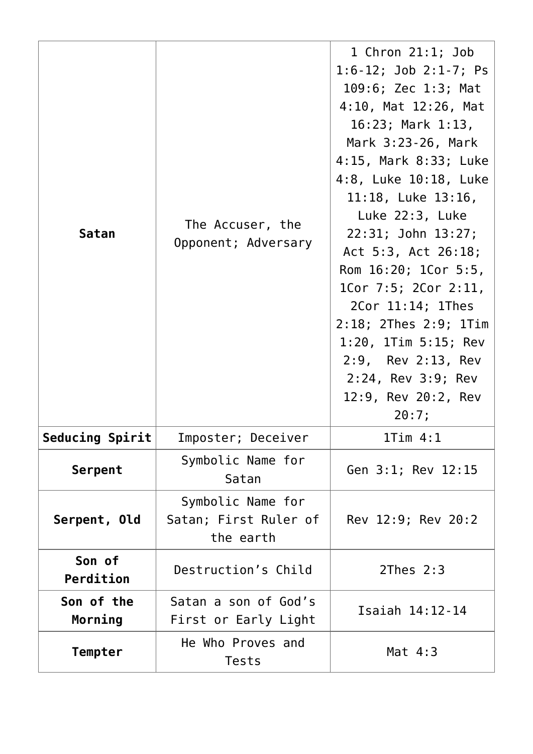| <b>Satan</b>           | The Accuser, the<br>Opponent; Adversary                 | 1 Chron $21:1$ ; Job<br>$1:6-12$ ; Job 2:1-7; Ps<br>109:6; Zec 1:3; Mat<br>4:10, Mat 12:26, Mat<br>16:23; Mark 1:13,<br>Mark 3:23-26, Mark<br>4:15, Mark 8:33; Luke<br>4:8, Luke 10:18, Luke<br>$11:18$ , Luke $13:16$ ,<br>Luke 22:3, Luke<br>22:31; John 13:27;<br>Act 5:3, Act 26:18;<br>Rom 16:20; 1Cor 5:5,<br>1Cor 7:5; 2Cor 2:11,<br>2Cor 11:14; 1Thes<br>2:18; 2Thes 2:9; 1Tim<br>$1:20$ , 1Tim $5:15$ ; Rev<br>2:9, Rev 2:13, Rev<br>2:24, Rev 3:9; Rev<br>12:9, Rev 20:2, Rev<br>20:7; |
|------------------------|---------------------------------------------------------|--------------------------------------------------------------------------------------------------------------------------------------------------------------------------------------------------------------------------------------------------------------------------------------------------------------------------------------------------------------------------------------------------------------------------------------------------------------------------------------------------|
| <b>Seducing Spirit</b> | Imposter; Deceiver                                      | 1Tim 4:1                                                                                                                                                                                                                                                                                                                                                                                                                                                                                         |
| Serpent                | Symbolic Name for<br>Satan                              | Gen 3:1; Rev 12:15                                                                                                                                                                                                                                                                                                                                                                                                                                                                               |
| Serpent, Old           | Symbolic Name for<br>Satan; First Ruler of<br>the earth | Rev 12:9; Rev 20:2                                                                                                                                                                                                                                                                                                                                                                                                                                                                               |
| Son of<br>Perdition    | Destruction's Child                                     | $2$ Thes $2:3$                                                                                                                                                                                                                                                                                                                                                                                                                                                                                   |
| Son of the<br>Morning  | Satan a son of God's<br>First or Early Light            | Isaiah 14:12-14                                                                                                                                                                                                                                                                                                                                                                                                                                                                                  |
| <b>Tempter</b>         | He Who Proves and<br>Tests                              | Mat $4:3$                                                                                                                                                                                                                                                                                                                                                                                                                                                                                        |